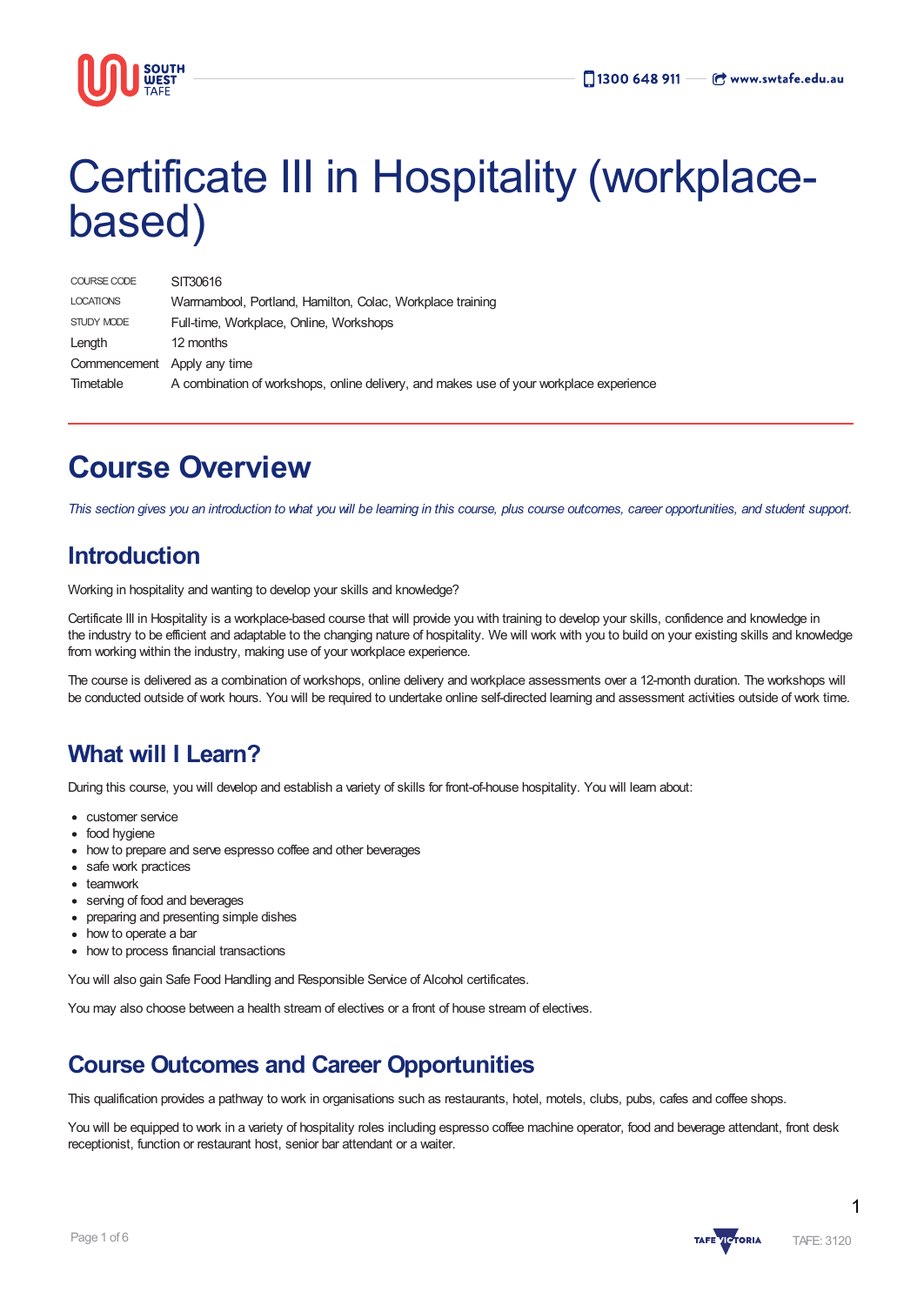

# Certificate III in Hospitality (workplacebased)

| COURSE CODE                 | SIT30616                                                                                |
|-----------------------------|-----------------------------------------------------------------------------------------|
| <b>LOCATIONS</b>            | Warmambool, Portland, Hamilton, Colac, Workplace training                               |
| STUDY MODE                  | Full-time, Workplace, Online, Workshops                                                 |
| Length                      | 12 months                                                                               |
| Commencement Apply any time |                                                                                         |
| Timetable                   | A combination of workshops, online delivery, and makes use of your workplace experience |

## **Course Overview**

This section gives you an introduction to what you will be learning in this course, plus course outcomes, career opportunities, and student support.

### **Introduction**

Working in hospitality and wanting to develop your skills and knowledge?

Certificate III in Hospitality is a workplace-based course that will provide you with training to develop your skills, confidence and knowledge in the industry to be efficient and adaptable to the changing nature of hospitality. We will work with you to build on your existing skills and knowledge from working within the industry, making use of your workplace experience.

The course is delivered as a combination of workshops, online delivery and workplace assessments over a 12-month duration. The workshops will be conducted outside of work hours. You will be required to undertake online self-directed learning and assessment activities outside of work time.

### **What will I Learn?**

During this course, you will develop and establish a variety of skills for front-of-house hospitality. You will learn about:

- customer service
- food hygiene
- how to prepare and serve espresso coffee and other beverages
- safe work practices
- teamwork
- serving of food and beverages
- preparing and presenting simple dishes
- how to operate a bar
- how to process financial transactions

You will also gain Safe Food Handling and Responsible Service of Alcohol certificates.

You may also choose between a health stream of electives or a front of house stream of electives.

### **Course Outcomes and Career Opportunities**

This qualification provides a pathway to work in organisations such as restaurants, hotel, motels, clubs, pubs, cafes and coffee shops.

You will be equipped to work in a variety of hospitality roles including espresso coffee machine operator, food and beverage attendant, front desk receptionist, function or restaurant host, senior bar attendant or a waiter.

1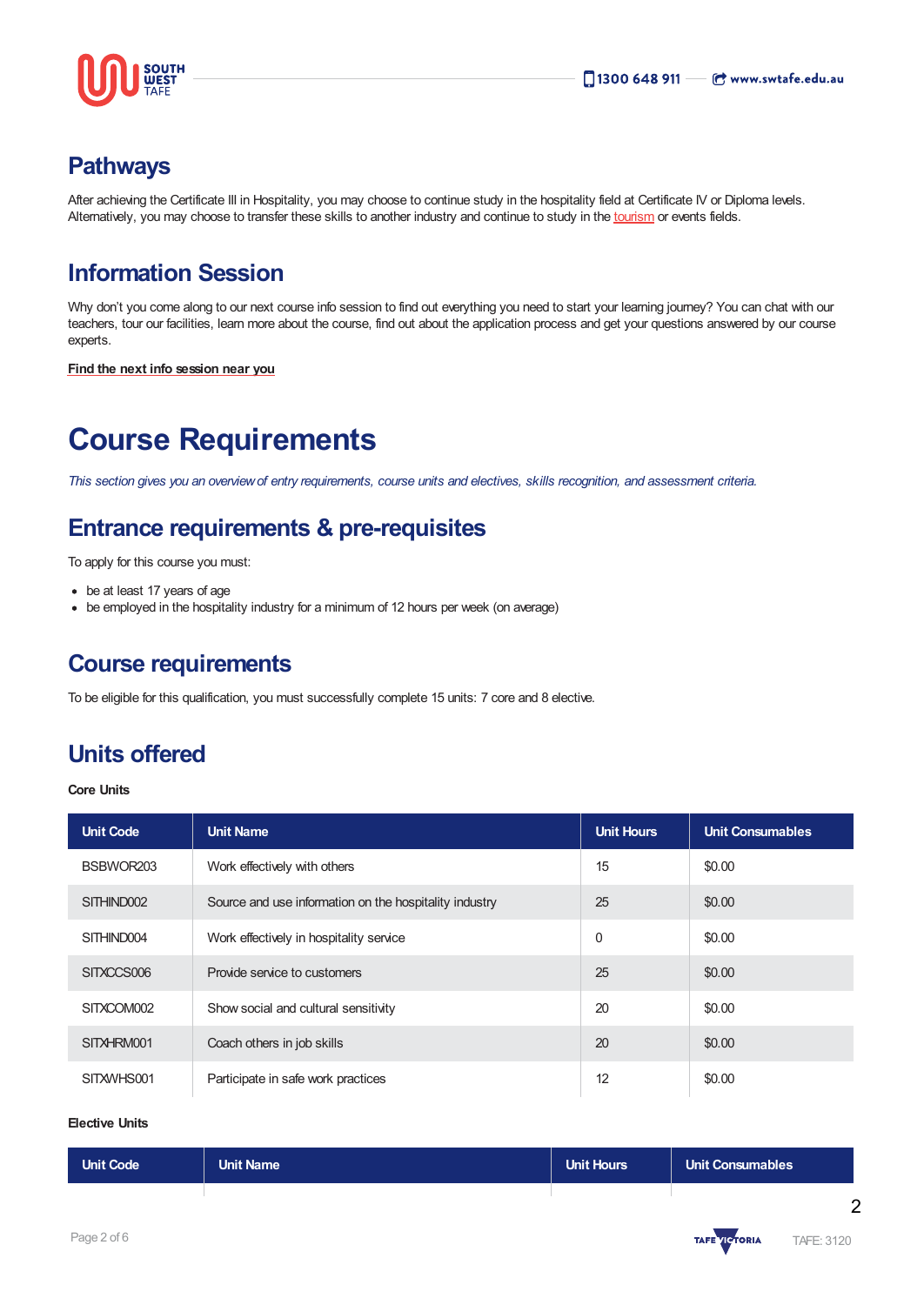

### **Pathways**

After achieving the Certificate III in Hospitality, you may choose to continue study in the hospitality field at Certificate IV or Diploma levels. Alternatively, you may choose to transfer these skills to another industry and continue to study in the [tourism](https://www.swtafe.edu.au/courses/tourism) or events fields.

### **Information Session**

Why don't you come along to our next course info session to find out everything you need to start your learning journey? You can chat with our teachers, tour our facilities, learn more about the course, find out about the application process and get your questions answered by our course experts.

**Find the next info [session](https://www.swtafe.edu.au/information-sessions) near you**

## **Course Requirements**

This section gives you an overview of entry requirements, course units and electives, skills recognition, and assessment criteria.

### **Entrance requirements & pre-requisites**

To apply for this course you must:

- be at least 17 years of age
- be employed in the hospitality industry for a minimum of 12 hours per week (on average)

### **Course requirements**

To be eligible for this qualification, you must successfully complete 15 units: 7 core and 8 elective.

### **Units offered**

**Core Units**

| <b>Unit Code</b> | <b>Unit Name</b>                                       | <b>Unit Hours</b> | <b>Unit Consumables</b> |
|------------------|--------------------------------------------------------|-------------------|-------------------------|
| BSBWOR203        | Work effectively with others                           | 15                | \$0.00                  |
| SITHIND002       | Source and use information on the hospitality industry | 25                | \$0.00                  |
| SITHIND004       | Work effectively in hospitality service                | $\mathbf 0$       | \$0.00                  |
| SITXCCS006       | Provide service to customers                           | 25                | \$0.00                  |
| SITXCOM002       | Show social and cultural sensitivity                   | 20                | \$0.00                  |
| SITXHRM001       | Coach others in job skills                             | 20                | \$0.00                  |
| SITXWHS001       | Participate in safe work practices                     | 12                | \$0.00                  |

#### **Elective Units**

| Unit Code | Unit Name <sup>'</sup> | <b>Unit Hours</b> | Unit Consumables |
|-----------|------------------------|-------------------|------------------|
|           |                        |                   |                  |

 $\overline{2}$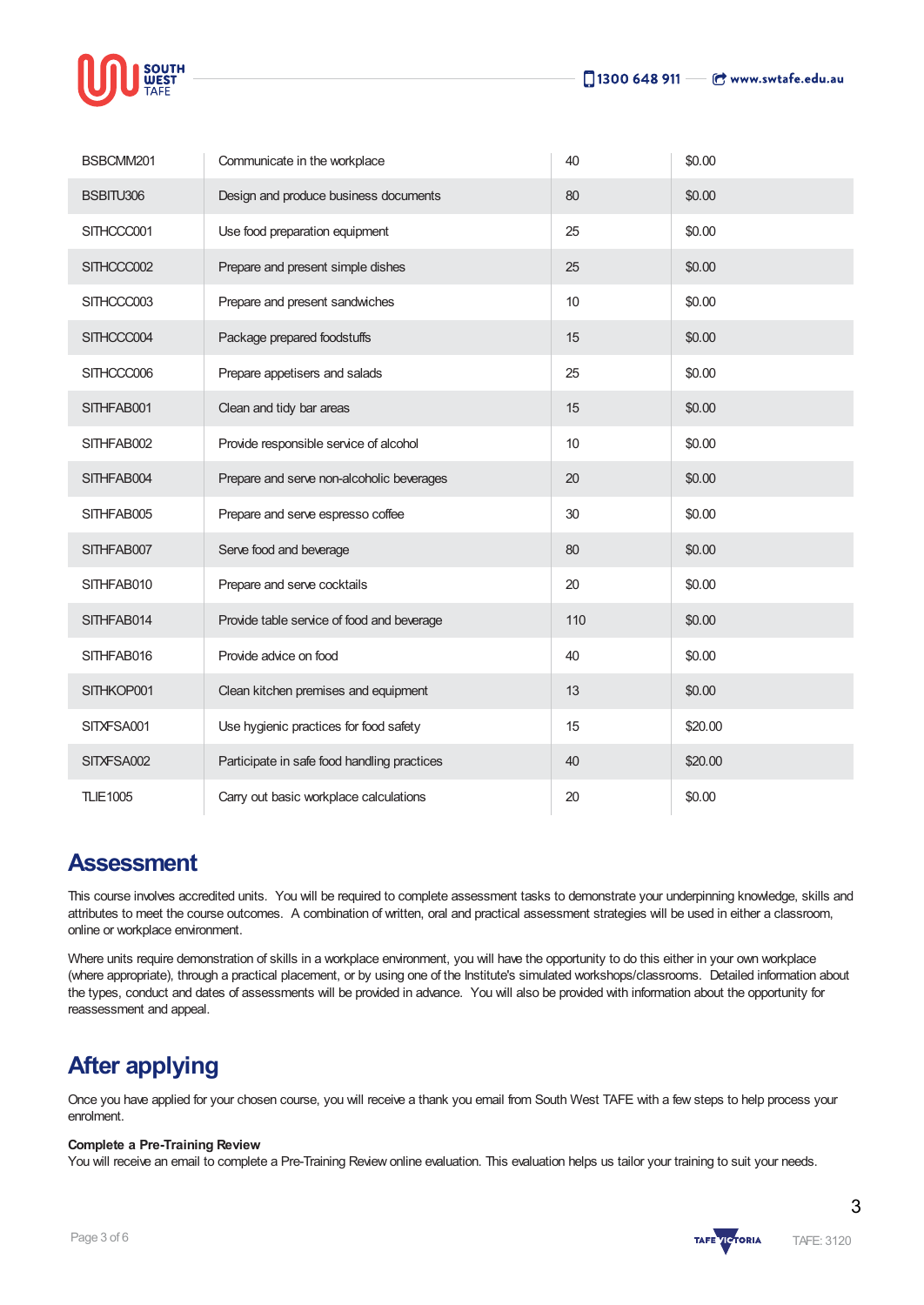

| BSBCMM201       | Communicate in the workplace                | 40  | \$0.00  |
|-----------------|---------------------------------------------|-----|---------|
| BSBITU306       | Design and produce business documents       | 80  | \$0.00  |
| SITHCCC001      | Use food preparation equipment              | 25  | \$0.00  |
| SITHCCC002      | Prepare and present simple dishes           | 25  | \$0.00  |
| SITHCCC003      | Prepare and present sandwiches              | 10  | \$0.00  |
| SITHCCC004      | Package prepared foodstuffs                 | 15  | \$0.00  |
| SITHCCC006      | Prepare appetisers and salads               | 25  | \$0.00  |
| SITHFAB001      | Clean and tidy bar areas                    | 15  | \$0.00  |
| SITHFAB002      | Provide responsible service of alcohol      | 10  | \$0.00  |
| SITHFAB004      | Prepare and serve non-alcoholic beverages   | 20  | \$0.00  |
| SITHFAB005      | Prepare and serve espresso coffee           | 30  | \$0.00  |
| SITHFAB007      | Serve food and beverage                     | 80  | \$0.00  |
| SITHFAB010      | Prepare and serve cocktails                 | 20  | \$0.00  |
| SITHFAB014      | Provide table service of food and beverage  | 110 | \$0.00  |
| SITHFAB016      | Provide advice on food                      | 40  | \$0.00  |
| SITHKOP001      | Clean kitchen premises and equipment        | 13  | \$0.00  |
| SITXFSA001      | Use hygienic practices for food safety      | 15  | \$20.00 |
| SITXFSA002      | Participate in safe food handling practices | 40  | \$20.00 |
| <b>TLIE1005</b> | Carry out basic workplace calculations      | 20  | \$0.00  |

### **Assessment**

This course involves accredited units. You will be required to complete assessment tasks to demonstrate your underpinning knowledge, skills and attributes to meet the course outcomes. A combination of written, oral and practical assessment strategies will be used in either a classroom, online or workplace environment.

Where units require demonstration of skills in a workplace environment, you will have the opportunity to do this either in your own workplace (where appropriate), through a practical placement, or by using one of the Institute's simulated workshops/classrooms. Detailed information about the types, conduct and dates of assessments will be provided in advance. You will also be provided with information about the opportunity for reassessment and appeal.

### **After applying**

Once you have applied for your chosen course, you will receive a thank you email from South West TAFE with a few steps to help process your enrolment.

#### **Complete a Pre-Training Review**

You will receive an email to complete a Pre-Training Review online evaluation. This evaluation helps us tailor your training to suit your needs.

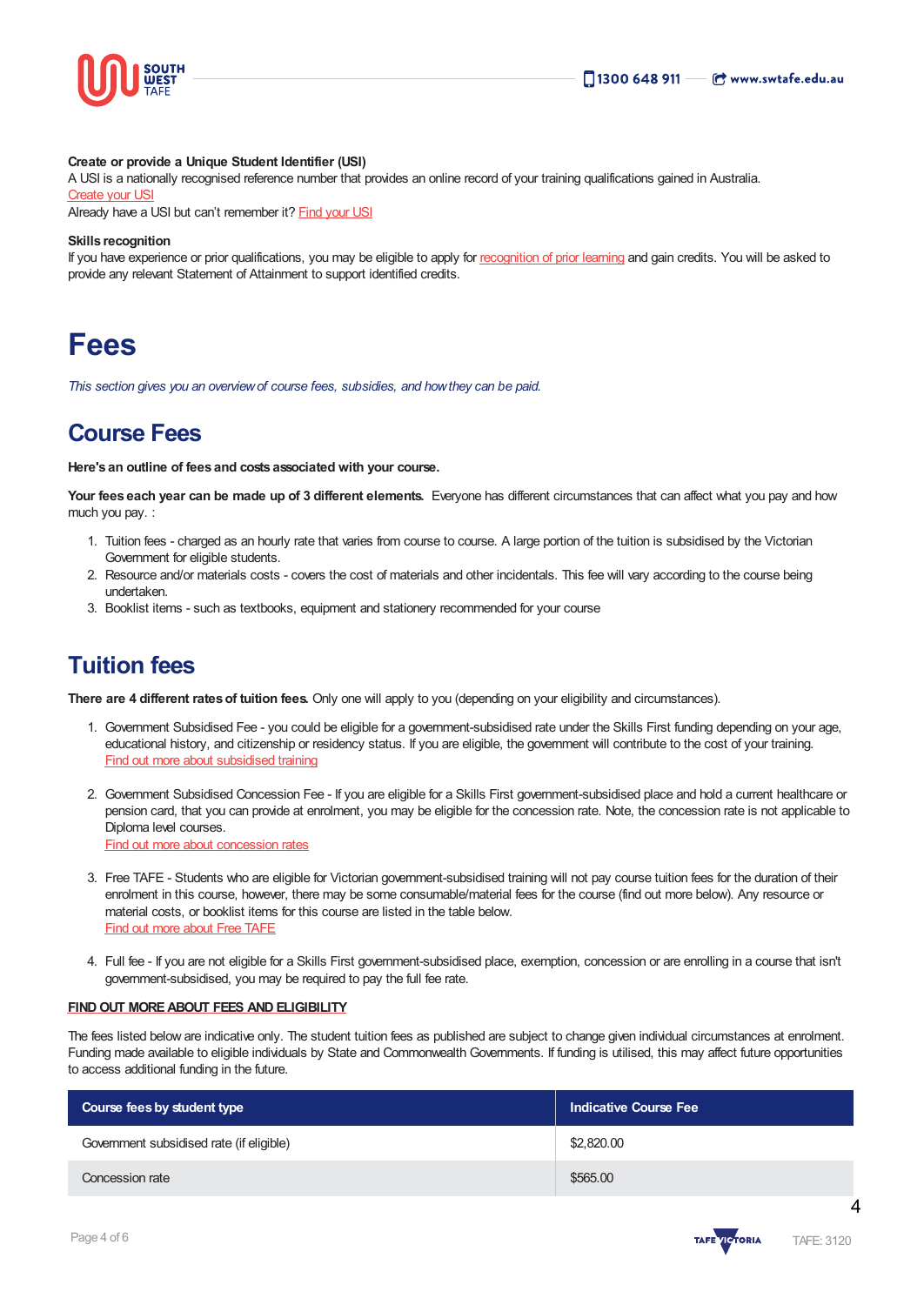

#### **Create or provide a Unique Student Identifier (USI)**

A USI is a nationally recognised reference number that provides an online record of your training qualifications gained in Australia. [Create](https://www.usi.gov.au/students/create-usi) your USI

Already have a USI but can't remember it? [Find](https://www.usi.gov.au/faqs/i-have-forgotten-my-usi) your USI

#### **Skills recognition**

If you have experience or prior qualifications, you may be eligible to apply for [recognition](https://www.swtafe.edu.au/study/how-to-apply/skills-recognition) of prior learning and gain credits. You will be asked to provide any relevant Statement of Attainment to support identified credits.

## **Fees**

*This section gives you an overviewof course fees, subsidies, and howthey can be paid.*

### **Course Fees**

**Here's an outline of fees and costs associated with your course.**

**Your fees each year can be made up of 3 different elements.** Everyone has different circumstances that can affect what you pay and how much you pay. :

- 1. Tuition fees charged as an hourly rate that varies from course to course. A large portion of the tuition is subsidised by the Victorian Government for eligible students.
- 2. Resource and/or materials costs covers the cost of materials and other incidentals. This fee will vary according to the course being undertaken.
- 3. Booklist items such as textbooks, equipment and stationery recommended for your course

### **Tuition fees**

**There are 4 different ratesof tuition fees.** Only one will apply to you (depending on your eligibility and circumstances).

- 1. Government Subsidised Fee you could be eligible for a government-subsidised rate under the Skills First funding depending on your age, educational history, and citizenship or residency status. If you are eligible, the government will contribute to the cost of your training. Find out more about [subsidised](https://www.swtafe.edu.au/study/fees-free-tafe/access-govt-subsidies/victorian-students) training
- 2. Government Subsidised Concession Fee If you are eligible for a Skills First government-subsidised place and hold a current healthcare or pension card, that you can provide at enrolment, you may be eligible for the concession rate. Note, the concession rate is not applicable to Diploma level courses. Find out more about [concession](https://www.swtafe.edu.au/study/fees-free-tafe/concession) rates
- 
- 3. Free TAFE Students who are eligible for Victorian government-subsidised training will not pay course tuition fees for the duration of their enrolment in this course, however, there may be some consumable/material fees for the course (find out more below). Any resource or material costs, or booklist items for this course are listed in the table below. Find out more [about](https://www.swtafe.edu.au/courses/free-tafe-courses) Free TAFE
- 4. Full fee If you are not eligible for a Skills First government-subsidised place, exemption, concession or are enrolling in a course that isn't government-subsidised, you may be required to pay the full fee rate.

#### **FINDOUT [MOREABOUT](https://www.swtafe.edu.au/study/fees-free-tafe) FEES AND ELIGIBILITY**

The fees listed below are indicative only. The student tuition fees as published are subject to change given individual circumstances at enrolment. Funding made available to eligible individuals by State and Commonwealth Governments. If funding is utilised, this may affect future opportunities to access additional funding in the future.

| Course fees by student type              | <b>Indicative Course Fee</b> |  |
|------------------------------------------|------------------------------|--|
| Government subsidised rate (if eligible) | \$2,820.00                   |  |
| Concession rate                          | \$565.00                     |  |



 $\boldsymbol{\Lambda}$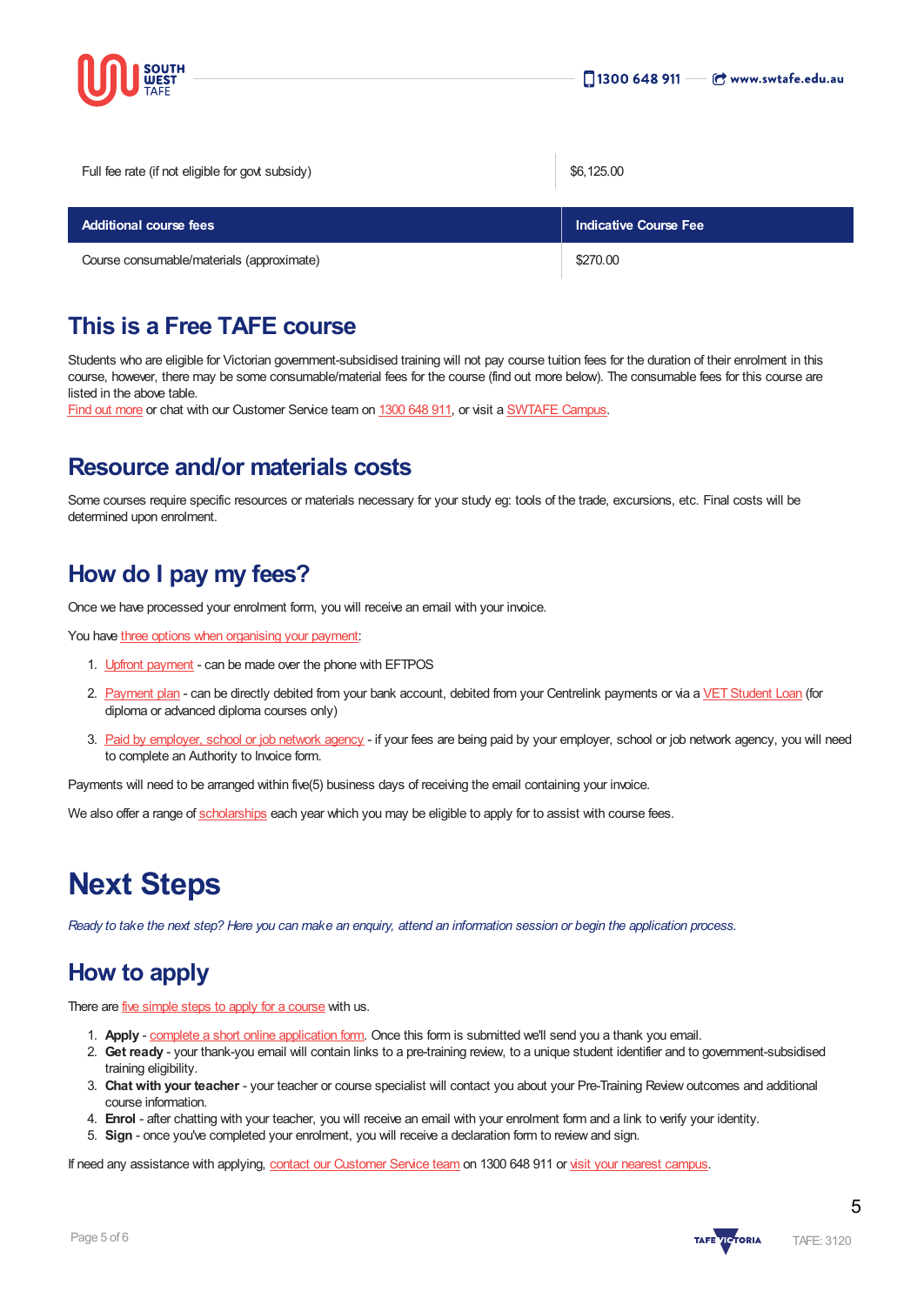

Full fee rate (if not eligible for govt subsidy) \$6,125.00

| <b>Additional course fees</b>             | <b>Indicative Course Fee</b> |  |
|-------------------------------------------|------------------------------|--|
| Course consumable/materials (approximate) | \$270.00                     |  |

### **This is a Free TAFE course**

Students who are eligible for Victorian government-subsidised training will not pay course tuition fees for the duration of their enrolment in this course, however, there may be some consumable/material fees for the course (find out more below). The consumable fees for this course are listed in the above table.

Find out [more](https://www.swtafe.edu.au/courses/free-tafe-courses) or chat with our Customer Service team on [1300](https://www.swtafe.edu.au/about-us/contact-us) 648 911, or visit a [SWTAFE](https://www.swtafe.edu.au/about-us/contact-us) Campus.

### **Resource and/or materials costs**

Some courses require specific resources or materials necessary for your study eg: tools of the trade, excursions, etc. Final costs will be determined upon enrolment.

### **How do I pay my fees?**

Once we have processed your enrolment form, you will receive an email with your invoice.

You have three options when [organising](https://www.swtafe.edu.au/study/fees-free-tafe/payment-options) your payment:

- 1. Upfront [payment](https://www.swtafe.edu.au/study/fees-free-tafe/payment-options) can be made over the phone with EFTPOS
- 2. [Payment](https://www.swtafe.edu.au/study/fees-free-tafe/payment-options) plan can be directly debited from your bank account, debited from your Centrelink payments or via a VET Student Loan (for diploma or advanced diploma courses only)
- 3. Paid by [employer,](https://www.swtafe.edu.au/study/fees-free-tafe/payment-options) school or job network agency if your fees are being paid by your employer, school or job network agency, you will need to complete an Authority to Invoice form.

Payments will need to be arranged within five(5) business days of receiving the email containing your invoice.

We also offer a range of [scholarships](https://www.swtafe.edu.au/study/scholarships) each year which you may be eligible to apply for to assist with course fees.

## **Next Steps**

Ready to take the next step? Here you can make an enquiry, attend an information session or begin the application process.

### **How to apply**

There are *five [simple](https://www.swtafe.edu.au/study/how-to-apply) steps to apply for a course* with us.

- 1. **Apply** complete a short online [application](https://www.swtafe.edu.au/apply-now) form. Once this form is submitted we'll send you a thank you email.
- 2. **Get ready** your thank-you email will contain links to a pre-training review, to a unique student identifier and to government-subsidised training eligibility.
- 3. **Chat with your teacher** your teacher or course specialist will contact you about your Pre-Training Review outcomes and additional course information.
- 4. **Enrol** after chatting with your teacher, you will receive an email with your enrolment form and a link to verify your identity.
- 5. **Sign** once you've completed your enrolment, you will receive a declaration form to review and sign.

If need any assistance with applying, contact our [Customer](https://www.swtafe.edu.au/about-us/contact-us) Service team on 1300 648 911 or visit your nearest [campus](https://www.swtafe.edu.au/about-us/our-campuses).